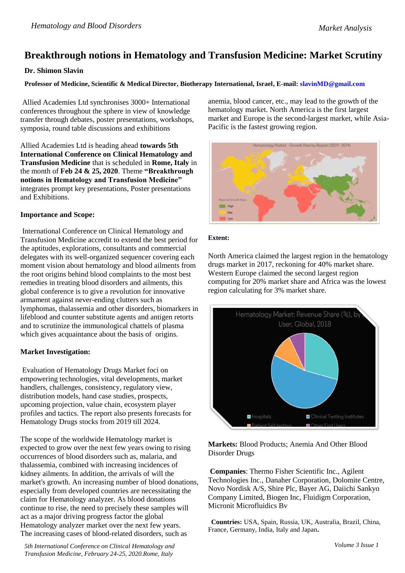# **Breakthrough notions in Hematology and Transfusion Medicine: Market Scrutiny**

## **Dr. Shimon Slavin**

**Professor of Medicine, Scientific & Medical Director, Biotherapy International, Israel, E-mail:<slavinMD@gmail.com>**

Allied Academies Ltd synchronises 3000+ International conferences throughout the sphere in view of knowledge transfer through debates, poster presentations, workshops, symposia, round table discussions and exhibitions

Allied Academies Ltd is heading ahead **towards 5th International Conference on Clinical Hematology and Transfusion Medicine** that is scheduled in **Rome, Italy** in the month of **Feb 24 & 25, 2020**. Theme **"Breakthrough notions in Hematology and Transfusion Medicine"** integrates prompt key presentations, Poster presentations and Exhibitions.

## **Importance and Scope:**

International Conference on Clinical Hematology and Transfusion Medicine accredit to extend the best period for the aptitudes, explorations, consultants and commercial delegates with its well-organized sequencer covering each moment vision about hematology and blood ailments from the root origins behind blood complaints to the most best remedies in treating blood disorders and ailments, this global conference is to give a revolution for innovative armament against never-ending clutters such as lymphomas, thalassemia and other disorders, biomarkers in lifeblood and counter substitute agents and antigen retorts and to scrutinize the immunological chattels of plasma which gives acquaintance about the basis of origins.

## **Market Investigation:**

Evaluation of Hematology Drugs Market foci on empowering technologies, vital developments, market handlers, challenges, consistency, regulatory view, distribution models, hand case studies, prospects, upcoming projection, value chain, ecosystem player profiles and tactics. The report also presents forecasts for Hematology Drugs stocks from 2019 till 2024.

The scope of the worldwide Hematology market is expected to grow over the next few years owing to rising occurrences of blood disorders such as, malaria, and thalassemia, combined with increasing incidences of kidney ailments. In addition, the arrivals of will the market's growth. An increasing number of blood donations, especially from developed countries are necessitating the claim for Hematology analyzer. As blood donations continue to rise, the need to precisely these samples will act as a major driving progress factor the global Hematology analyzer market over the next few years. The increasing cases of blood-related disorders, such as

*5th International Conference on Clinical Hematology and Transfusion Medicine, February 24-25, 2020.Rome, Italy*

anemia, blood cancer, etc., may lead to the growth of the hematology market. North America is the first largest market and Europe is the second-largest market, while Asia-Pacific is the fastest growing region.



### **Extent:**

North America claimed the largest region in the hematology drugs market in 2017, reckoning for 40% market share. Western Europe claimed the second largest region computing for 20% market share and Africa was the lowest region calculating for 3% market share.



**Markets:** Blood Products; Anemia And Other Blood Disorder Drugs

**Companies**: Thermo Fisher Scientific Inc., Agilent Technologies Inc., Danaher Corporation, Dolomite Centre, Novo Nordisk A/S, Shire Plc, Bayer AG, Daiichi Sankyo Company Limited, Biogen Inc, Fluidigm Corporation, Micronit Microfluidics Bv

 **Countries:** USA, Spain, Russia, UK, Australia, Brazil, China, France, Germany, India, Italy and Japan**.**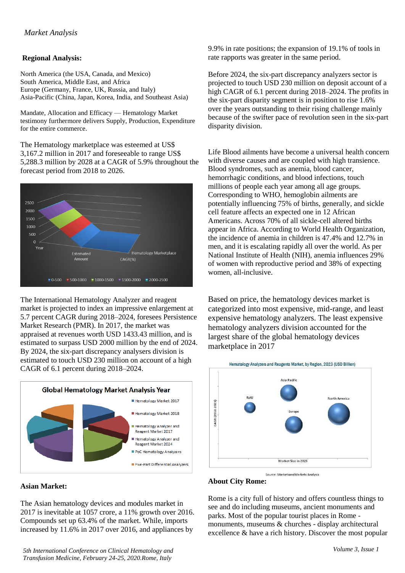# **Regional Analysis:**

North America (the USA, Canada, and Mexico) South America, Middle East, and Africa Europe (Germany, France, UK, Russia, and Italy) Asia-Pacific (China, Japan, Korea, India, and Southeast Asia)

Mandate, Allocation and Efficacy — Hematology Market testimony furthermore delivers Supply, Production, Expenditure for the entire commerce.

The Hematology marketplace was esteemed at US\$ 3,167.2 million in 2017 and foreseeable to range US\$ 5,288.3 million by 2028 at a CAGR of 5.9% throughout the forecast period from 2018 to 2026.



The International Hematology Analyzer and reagent market is projected to index an impressive enlargement at 5.7 percent CAGR during 2018–2024, foresees Persistence Market Research (PMR). In 2017, the market was appraised at revenues worth USD 1433.43 million, and is estimated to surpass USD 2000 million by the end of 2024. By 2024, the six-part discrepancy analysers division is estimated to touch USD 230 million on account of a high CAGR of 6.1 percent during 2018–2024.



#### **Asian Market:**

The Asian hematology devices and modules market in 2017 is inevitable at 1057 crore, a 11% growth over 2016. Compounds set up 63.4% of the market. While, imports increased by 11.6% in 2017 over 2016, and appliances by

*5th International Conference on Clinical Hematology and Transfusion Medicine, February 24-25, 2020.Rome, Italy*

9.9% in rate positions; the expansion of 19.1% of tools in rate rapports was greater in the same period.

Before 2024, the six-part discrepancy analyzers sector is projected to touch USD 230 million on deposit account of a high CAGR of 6.1 percent during 2018–2024. The profits in the six-part disparity segment is in position to rise 1.6% over the years outstanding to their rising challenge mainly because of the swifter pace of revolution seen in the six-part disparity division.

Life Blood ailments have become a universal health concern with diverse causes and are coupled with high transience. Blood syndromes, such as anemia, blood cancer, hemorrhagic conditions, and blood infections, touch millions of people each year among all age groups. Corresponding to WHO, hemoglobin ailments are potentially influencing 75% of births, generally, and sickle cell feature affects an expected one in 12 African Americans. Across 70% of all sickle-cell altered births appear in Africa. According to World Health Organization, the incidence of anemia in children is 47.4% and 12.7% in men, and it is escalating rapidly all over the world. As per National Institute of Health (NIH), anemia influences 29% of women with reproductive period and 38% of expecting women, all-inclusive.

Based on price, the hematology devices market is categorized into most expensive, mid-range, and least expensive hematology analyzers. The least expensive hematology analyzers division accounted for the largest share of the global hematology devices marketplace in 2017



Source: MarketsandMarkets Analysis

#### **About City Rome:**

Rome is a city full of history and offers countless things to see and do including museums, ancient monuments and parks. Most of the popular tourist places in Rome monuments, museums & churches - display architectural excellence & have a rich history. Discover the most popular